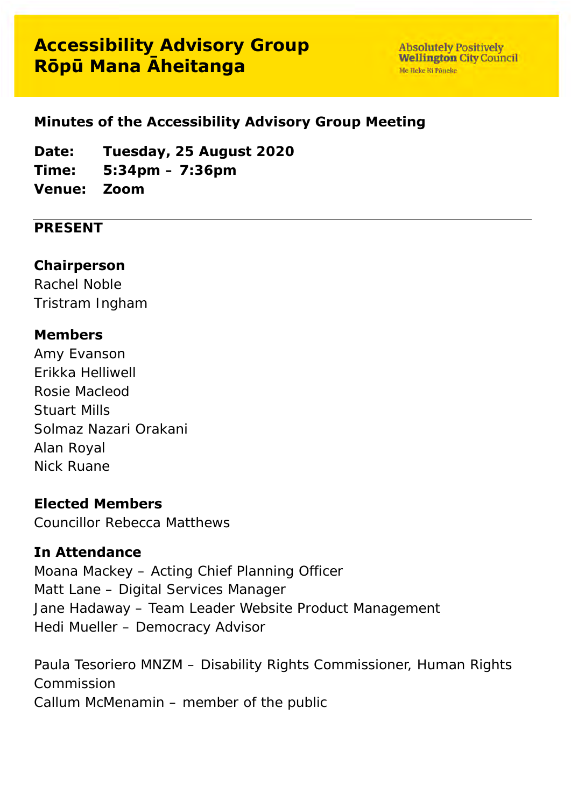# **Accessibility Advisory Group Rōpū Mana Āheitanga**

**Absolutely Positively Wellington City Council** Me Heke Ki Pôneke

#### **Minutes of the Accessibility Advisory Group Meeting**

**Date: Tuesday, 25 August 2020**

**Time: 5:34pm – 7:36pm**

**Venue: Zoom**

#### **PRESENT**

#### **Chairperson**

Rachel Noble Tristram Ingham

#### **Members**

Amy Evanson Erikka Helliwell Rosie Macleod Stuart Mills Solmaz Nazari Orakani Alan Royal Nick Ruane

#### **Elected Members**

Councillor Rebecca Matthews

#### **In Attendance**

Moana Mackey – Acting Chief Planning Officer Matt Lane – Digital Services Manager Jane Hadaway – Team Leader Website Product Management Hedi Mueller – Democracy Advisor

Paula Tesoriero MNZM – Disability Rights Commissioner, Human Rights Commission Callum McMenamin – member of the public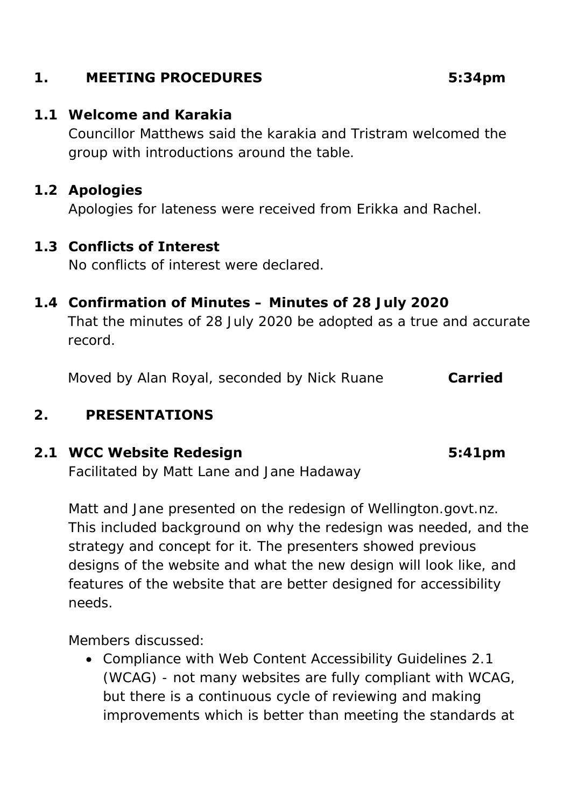## **1. MEETING PROCEDURES 5:34pm**

#### **1.1 Welcome and Karakia**

Councillor Matthews said the karakia and Tristram welcomed the group with introductions around the table.

### **1.2 Apologies**

Apologies for lateness were received from Erikka and Rachel.

#### **1.3 Conflicts of Interest**

No conflicts of interest were declared.

### **1.4 Confirmation of Minutes – Minutes of 28 July 2020**

That the minutes of 28 July 2020 be adopted as a true and accurate record.

Moved by Alan Royal, seconded by Nick Ruane **Carried**

## **2. PRESENTATIONS**

# **2.1 WCC Website Redesign 5:41pm**

Facilitated by Matt Lane and Jane Hadaway

Matt and Jane presented on the redesign of Wellington.govt.nz. This included background on why the redesign was needed, and the strategy and concept for it. The presenters showed previous designs of the website and what the new design will look like, and features of the website that are better designed for accessibility needs.

Members discussed:

• Compliance with Web Content Accessibility Guidelines 2.1 (WCAG) - not many websites are fully compliant with WCAG, but there is a continuous cycle of reviewing and making improvements which is better than meeting the standards at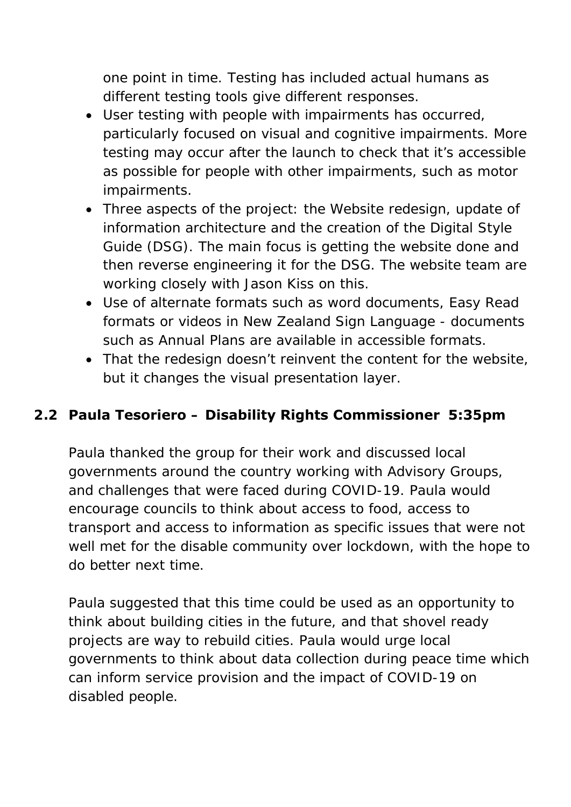one point in time. Testing has included actual humans as different testing tools give different responses.

- User testing with people with impairments has occurred, particularly focused on visual and cognitive impairments. More testing may occur after the launch to check that it's accessible as possible for people with other impairments, such as motor impairments.
- Three aspects of the project: the Website redesign, update of information architecture and the creation of the Digital Style Guide (DSG). The main focus is getting the website done and then reverse engineering it for the DSG. The website team are working closely with Jason Kiss on this.
- Use of alternate formats such as word documents, Easy Read formats or videos in New Zealand Sign Language - documents such as Annual Plans are available in accessible formats.
- That the redesign doesn't reinvent the content for the website, but it changes the visual presentation layer.

# **2.2 Paula Tesoriero – Disability Rights Commissioner 5:35pm**

Paula thanked the group for their work and discussed local governments around the country working with Advisory Groups, and challenges that were faced during COVID-19. Paula would encourage councils to think about access to food, access to transport and access to information as specific issues that were not well met for the disable community over lockdown, with the hope to do better next time.

Paula suggested that this time could be used as an opportunity to think about building cities in the future, and that shovel ready projects are way to rebuild cities. Paula would urge local governments to think about data collection during peace time which can inform service provision and the impact of COVID-19 on disabled people.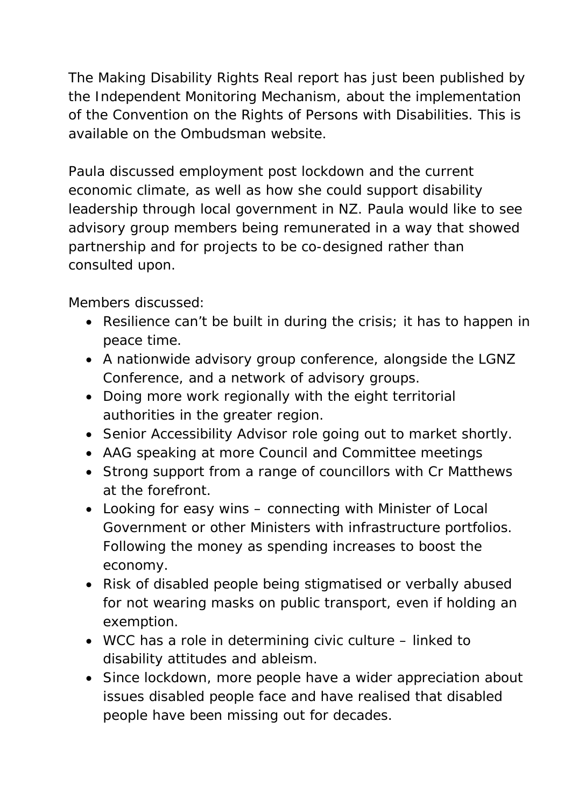The *Making Disability Rights Real* report has just been published by the Independent Monitoring Mechanism, about the implementation of the Convention on the Rights of Persons with Disabilities. This is available on the Ombudsman website.

Paula discussed employment post lockdown and the current economic climate, as well as how she could support disability leadership through local government in NZ. Paula would like to see advisory group members being remunerated in a way that showed partnership and for projects to be co-designed rather than consulted upon.

Members discussed:

- Resilience can't be built in during the crisis; it has to happen in peace time.
- A nationwide advisory group conference, alongside the LGNZ Conference, and a network of advisory groups.
- Doing more work regionally with the eight territorial authorities in the greater region.
- Senior Accessibility Advisor role going out to market shortly.
- AAG speaking at more Council and Committee meetings
- Strong support from a range of councillors with Cr Matthews at the forefront.
- Looking for easy wins connecting with Minister of Local Government or other Ministers with infrastructure portfolios. Following the money as spending increases to boost the economy.
- Risk of disabled people being stigmatised or verbally abused for not wearing masks on public transport, even if holding an exemption.
- WCC has a role in determining civic culture linked to disability attitudes and ableism.
- Since lockdown, more people have a wider appreciation about issues disabled people face and have realised that disabled people have been missing out for decades.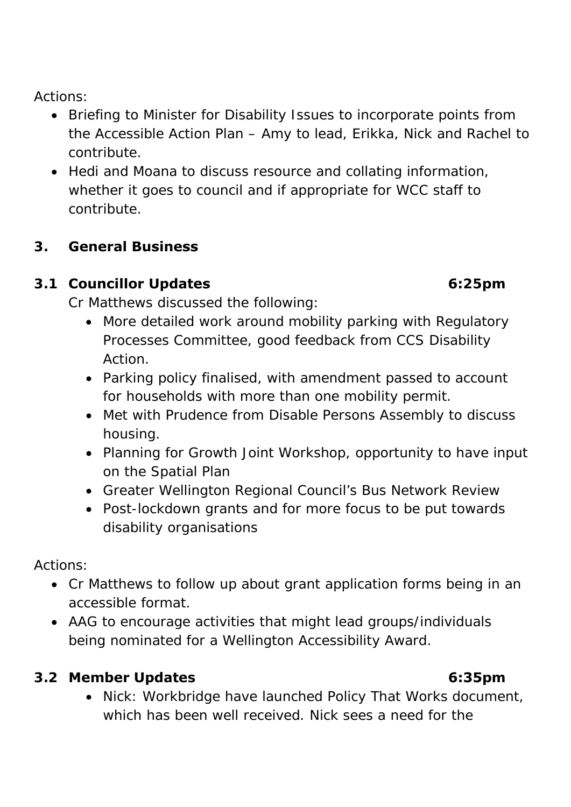Actions:

- Briefing to Minister for Disability Issues to incorporate points from the Accessible Action Plan – Amy to lead, Erikka, Nick and Rachel to contribute.
- Hedi and Moana to discuss resource and collating information, whether it goes to council and if appropriate for WCC staff to contribute.

# **3. General Business**

# **3.1 Councillor Updates 6:25pm**

Cr Matthews discussed the following:

- More detailed work around mobility parking with Regulatory Processes Committee, good feedback from CCS Disability Action.
- Parking policy finalised, with amendment passed to account for households with more than one mobility permit.
- Met with Prudence from Disable Persons Assembly to discuss housing.
- Planning for Growth Joint Workshop, opportunity to have input on the Spatial Plan
- Greater Wellington Regional Council's Bus Network Review
- Post-lockdown grants and for more focus to be put towards disability organisations

Actions:

- Cr Matthews to follow up about grant application forms being in an accessible format.
- AAG to encourage activities that might lead groups/individuals being nominated for a Wellington Accessibility Award.

# **3.2 Member Updates 6:35pm**

- 
- Nick: Workbridge have launched Policy That Works document, which has been well received. Nick sees a need for the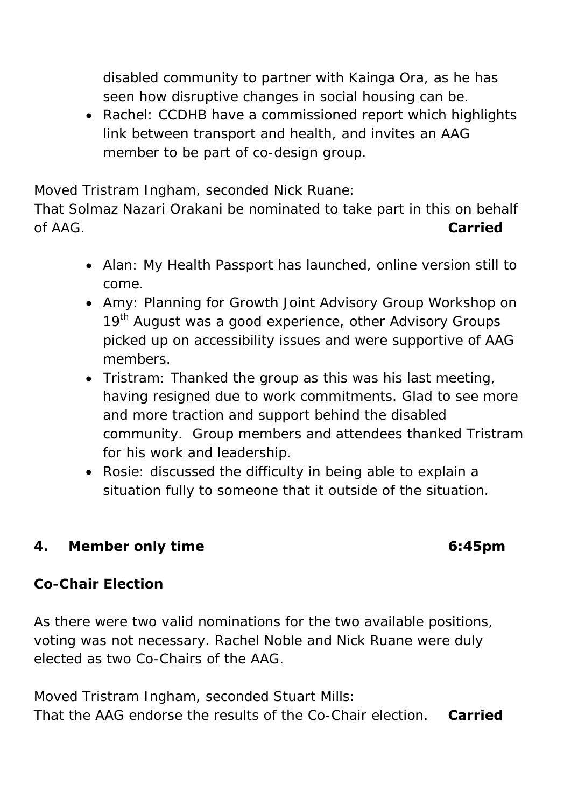disabled community to partner with Kainga Ora, as he has seen how disruptive changes in social housing can be.

• Rachel: CCDHB have a commissioned report which highlights link between transport and health, and invites an AAG member to be part of co-design group.

Moved Tristram Ingham, seconded Nick Ruane:

That Solmaz Nazari Orakani be nominated to take part in this on behalf of AAG. **Carried**

- Alan: My Health Passport has launched, online version still to come.
- Amy: Planning for Growth Joint Advisory Group Workshop on 19<sup>th</sup> August was a good experience, other Advisory Groups picked up on accessibility issues and were supportive of AAG members.
- Tristram: Thanked the group as this was his last meeting, having resigned due to work commitments. Glad to see more and more traction and support behind the disabled community. Group members and attendees thanked Tristram for his work and leadership.
- Rosie: discussed the difficulty in being able to explain a situation fully to someone that it outside of the situation.

## **4. Member only time 6:45pm**

## **Co-Chair Election**

As there were two valid nominations for the two available positions, voting was not necessary. Rachel Noble and Nick Ruane were duly elected as two Co-Chairs of the AAG.

Moved Tristram Ingham, seconded Stuart Mills: That the AAG endorse the results of the Co-Chair election. **Carried**